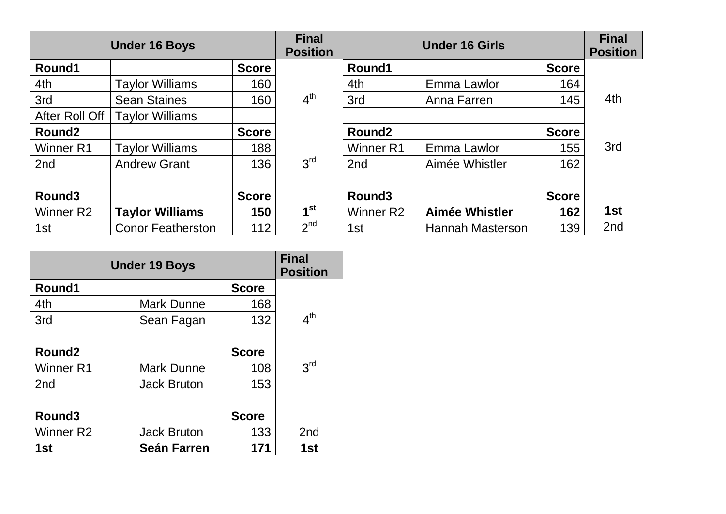|                       | <b>Under 16 Boys</b>     |              | <b>Final</b><br><b>Position</b> |                    |                         | <b>Final</b><br><b>Position</b> |                 |
|-----------------------|--------------------------|--------------|---------------------------------|--------------------|-------------------------|---------------------------------|-----------------|
| Round1                |                          | <b>Score</b> |                                 | Round1             |                         | <b>Score</b>                    |                 |
| 4th                   | <b>Taylor Williams</b>   | 160          |                                 | 4th                | Emma Lawlor             | 164                             |                 |
| 3rd                   | <b>Sean Staines</b>      | 160          | 4 <sup>th</sup>                 | 3rd                | Anna Farren             | 145                             | 4th             |
| After Roll Off        | <b>Taylor Williams</b>   |              |                                 |                    |                         |                                 |                 |
| Round <sub>2</sub>    |                          | <b>Score</b> |                                 | Round <sub>2</sub> |                         | <b>Score</b>                    |                 |
| Winner R1             | <b>Taylor Williams</b>   | 188          |                                 | Winner R1          | Emma Lawlor             | 155                             | 3rd             |
| 2 <sub>nd</sub>       | <b>Andrew Grant</b>      | 136          | 3 <sup>rd</sup>                 | 2nd                | Aimée Whistler          | 162                             |                 |
|                       |                          |              |                                 |                    |                         |                                 |                 |
| Round <sub>3</sub>    |                          | <b>Score</b> |                                 | Round <sub>3</sub> |                         | <b>Score</b>                    |                 |
| Winner R <sub>2</sub> | <b>Taylor Williams</b>   | 150          | 1 <sup>st</sup>                 | Winner R2          | <b>Aimée Whistler</b>   | 162                             | 1st             |
| 1st                   | <b>Conor Featherston</b> | 112          | 2 <sup>nd</sup>                 | 1st                | <b>Hannah Masterson</b> | 139                             | 2 <sub>nd</sub> |

| <b>Under 19 Boys</b>  | <b>Final</b><br><b>Position</b> |              |                 |
|-----------------------|---------------------------------|--------------|-----------------|
| Round1                |                                 | <b>Score</b> |                 |
| 4th                   | <b>Mark Dunne</b>               | 168          |                 |
| 3rd                   | Sean Fagan                      | 132          | 4 <sup>th</sup> |
|                       |                                 |              |                 |
| Round <sub>2</sub>    |                                 | <b>Score</b> |                 |
| <b>Winner R1</b>      | <b>Mark Dunne</b>               | 108          | 3 <sup>rd</sup> |
| 2 <sub>nd</sub>       | <b>Jack Bruton</b>              | 153          |                 |
|                       |                                 |              |                 |
| Round <sub>3</sub>    |                                 | <b>Score</b> |                 |
| Winner R <sub>2</sub> | <b>Jack Bruton</b>              | 133          | 2 <sub>nd</sub> |
| 1st                   | <b>Seán Farren</b>              | 171          | 1st             |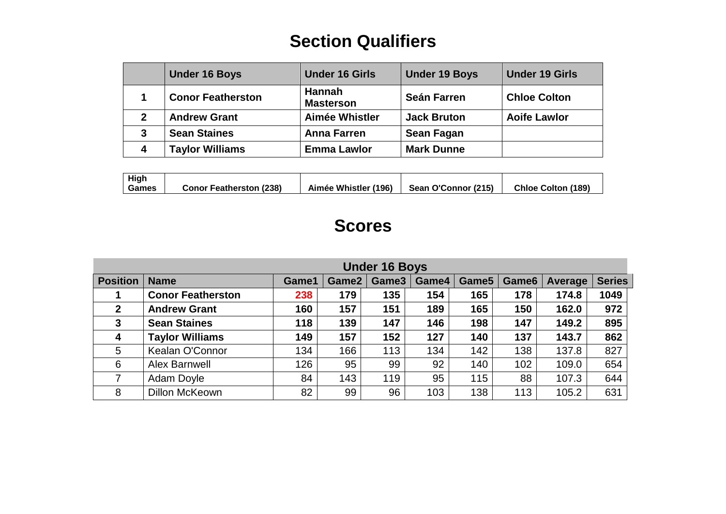## **Section Qualifiers**

|   | <b>Under 16 Boys</b>     | <b>Under 16 Girls</b>             | <b>Under 19 Boys</b> | <b>Under 19 Girls</b> |
|---|--------------------------|-----------------------------------|----------------------|-----------------------|
|   | <b>Conor Featherston</b> | <b>Hannah</b><br><b>Masterson</b> | <b>Seán Farren</b>   | <b>Chloe Colton</b>   |
| 2 | <b>Andrew Grant</b>      | Aimée Whistler                    | <b>Jack Bruton</b>   | <b>Aoife Lawlor</b>   |
| 3 | <b>Sean Staines</b>      | <b>Anna Farren</b>                | Sean Fagan           |                       |
| 4 | <b>Taylor Williams</b>   | <b>Emma Lawlor</b>                | <b>Mark Dunne</b>    |                       |

| High<br>Games | <b>Conor Featherston (238)</b> | Aimée Whistler (196) | Sean O'Connor (215) | <b>Chloe Colton (189)</b> |
|---------------|--------------------------------|----------------------|---------------------|---------------------------|
|               |                                |                      |                     |                           |

## **Scores**

| <b>Under 16 Boys</b> |                          |       |       |       |       |       |                   |         |               |
|----------------------|--------------------------|-------|-------|-------|-------|-------|-------------------|---------|---------------|
| <b>Position</b>      | <b>Name</b>              | Game1 | Game2 | Game3 | Game4 | Game5 | Game <sub>6</sub> | Average | <b>Series</b> |
|                      | <b>Conor Featherston</b> | 238   | 179   | 135   | 154   | 165   | 178               | 174.8   | 1049          |
| $\overline{2}$       | <b>Andrew Grant</b>      | 160   | 157   | 151   | 189   | 165   | 150               | 162.0   | 972           |
| 3                    | <b>Sean Staines</b>      | 118   | 139   | 147   | 146   | 198   | 147               | 149.2   | 895           |
| $\boldsymbol{4}$     | <b>Taylor Williams</b>   | 149   | 157   | 152   | 127   | 140   | 137               | 143.7   | 862           |
| 5                    | Kealan O'Connor          | 134   | 166   | 113   | 134   | 142   | 138               | 137.8   | 827           |
| 6                    | <b>Alex Barnwell</b>     | 126   | 95    | 99    | 92    | 140   | 102               | 109.0   | 654           |
| 7                    | Adam Doyle               | 84    | 143   | 119   | 95    | 115   | 88                | 107.3   | 644           |
| 8                    | <b>Dillon McKeown</b>    | 82    | 99    | 96    | 103   | 138   | 113               | 105.2   | 631           |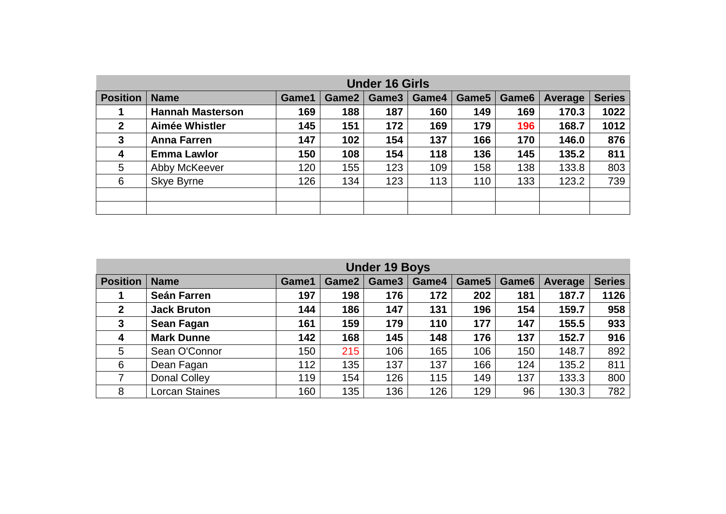|                 | <b>Under 16 Girls</b>   |       |       |       |       |       |       |         |               |
|-----------------|-------------------------|-------|-------|-------|-------|-------|-------|---------|---------------|
| <b>Position</b> | <b>Name</b>             | Game1 | Game2 | Game3 | Game4 | Game5 | Game6 | Average | <b>Series</b> |
|                 | <b>Hannah Masterson</b> | 169   | 188   | 187   | 160   | 149   | 169   | 170.3   | 1022          |
| $\mathbf{2}$    | Aimée Whistler          | 145   | 151   | 172   | 169   | 179   | 196   | 168.7   | 1012          |
| $\mathbf{3}$    | <b>Anna Farren</b>      | 147   | 102   | 154   | 137   | 166   | 170   | 146.0   | 876           |
| 4               | <b>Emma Lawlor</b>      | 150   | 108   | 154   | 118   | 136   | 145   | 135.2   | 811           |
| 5               | Abby McKeever           | 120   | 155   | 123   | 109   | 158   | 138   | 133.8   | 803           |
| 6               | Skye Byrne              | 126   | 134   | 123   | 113   | 110   | 133   | 123.2   | 739           |
|                 |                         |       |       |       |       |       |       |         |               |
|                 |                         |       |       |       |       |       |       |         |               |

| <b>Under 19 Boys</b> |                       |       |       |       |       |       |                   |         |               |
|----------------------|-----------------------|-------|-------|-------|-------|-------|-------------------|---------|---------------|
| <b>Position</b>      | <b>Name</b>           | Game1 | Game2 | Game3 | Game4 | Game5 | Game <sub>6</sub> | Average | <b>Series</b> |
|                      | <b>Seán Farren</b>    | 197   | 198   | 176   | 172   | 202   | 181               | 187.7   | 1126          |
| $\mathbf{2}$         | <b>Jack Bruton</b>    | 144   | 186   | 147   | 131   | 196   | 154               | 159.7   | 958           |
| $\mathbf{3}$         | <b>Sean Fagan</b>     | 161   | 159   | 179   | 110   | 177   | 147               | 155.5   | 933           |
| 4                    | <b>Mark Dunne</b>     | 142   | 168   | 145   | 148   | 176   | 137               | 152.7   | 916           |
| 5                    | Sean O'Connor         | 150   | 215   | 106   | 165   | 106   | 150               | 148.7   | 892           |
| 6                    | Dean Fagan            | 112   | 135   | 137   | 137   | 166   | 124               | 135.2   | 811           |
| 7                    | <b>Donal Colley</b>   | 119   | 154   | 126   | 115   | 149   | 137               | 133.3   | 800           |
| 8                    | <b>Lorcan Staines</b> | 160   | 135   | 136   | 126   | 129   | 96                | 130.3   | 782           |